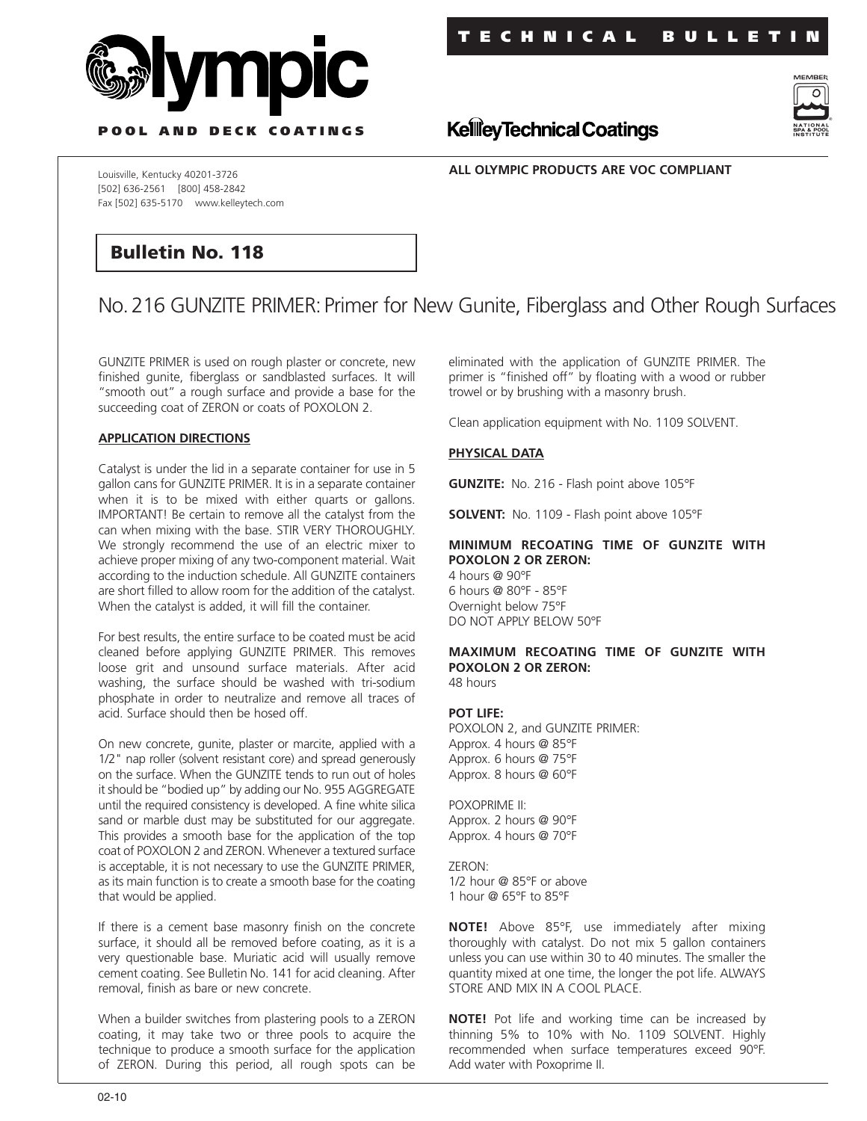



**P OOL AND DECK COATINGS**

**ALL OLYMPIC PRODUCTS ARE VOC COMPLIANT**

**KellieyTechnical Coatings** 

Louisville, Kentucky 40201-3726 [502] 636-2561 [800] 458-2842 Fax [502] 635-5170 www.kelleytech.com

## **Bulletin No. 118**

# No.216 GUNZITE PRIMER:Primer for New Gunite, Fiberglass and Other Rough Surfaces

GUNZITE PRIMER is used on rough plaster or concrete, new finished gunite, fiberglass or sandblasted surfaces. It will "smooth out" a rough surface and provide a base for the succeeding coat of ZERON or coats of POXOLON 2.

#### **APPLICATION DIRECTIONS**

Catalyst is under the lid in a separate container for use in 5 gallon cans for GUNZITE PRIMER. It is in a separate container when it is to be mixed with either quarts or gallons. IMPORTANT! Be certain to remove all the catalyst from the can when mixing with the base. STIR VERY THOROUGHLY. We strongly recommend the use of an electric mixer to achieve proper mixing of any two-component material. Wait according to the induction schedule. All GUNZITE containers are short filled to allow room for the addition of the catalyst. When the catalyst is added, it will fill the container.

For best results, the entire surface to be coated must be acid cleaned before applying GUNZITE PRIMER. This removes loose grit and unsound surface materials. After acid washing, the surface should be washed with tri-sodium phosphate in order to neutralize and remove all traces of acid. Surface should then be hosed off.

On new concrete, gunite, plaster or marcite, applied with a 1/2" nap roller (solvent resistant core) and spread generously on the surface. When the GUNZITE tends to run out of holes it should be "bodied up" by adding our No. 955 AGGREGATE until the required consistency is developed. A fine white silica sand or marble dust may be substituted for our aggregate. This provides a smooth base for the application of the top coat of POXOLON 2 and ZERON. Whenever a textured surface is acceptable, it is not necessary to use the GUNZITE PRIMER, as its main function is to create a smooth base for the coating that would be applied.

If there is a cement base masonry finish on the concrete surface, it should all be removed before coating, as it is a very questionable base. Muriatic acid will usually remove cement coating. See Bulletin No. 141 for acid cleaning. After removal, finish as bare or new concrete.

When a builder switches from plastering pools to a ZERON coating, it may take two or three pools to acquire the technique to produce a smooth surface for the application of ZERON. During this period, all rough spots can be

eliminated with the application of GUNZITE PRIMER. The primer is "finished off" by floating with a wood or rubber trowel or by brushing with a masonry brush.

Clean application equipment with No. 1109 SOLVENT.

### **PHYSICAL DATA**

**GUNZITE:** No. 216 - Flash point above 105°F

**SOLVENT:** No. 1109 - Flash point above 105°F

## **MINIMUM RECOATING TIME OF GUNZITE WITH POXOLON 2 OR ZERON:**

4 hours @ 90°F 6 hours @ 80°F - 85°F Overnight below 75°F DO NOT APPLY BELOW 50°F

## **MAXIMUM RECOATING TIME OF GUNZITE WITH POXOLON 2 OR ZERON:**

48 hours

#### **POT LIFE:**

POXOLON 2, and GUNZITE PRIMER: Approx. 4 hours @ 85°F Approx. 6 hours @ 75°F Approx. 8 hours @ 60°F

POXOPRIME II: Approx. 2 hours @ 90°F Approx. 4 hours @ 70°F

ZERON: 1/2 hour @ 85°F or above 1 hour @ 65°F to 85°F

**NOTE!** Above 85°F, use immediately after mixing thoroughly with catalyst. Do not mix 5 gallon containers unless you can use within 30 to 40 minutes. The smaller the quantity mixed at one time, the longer the pot life. ALWAYS STORE AND MIX IN A COOL PLACE.

**NOTE!** Pot life and working time can be increased by thinning 5% to 10% with No. 1109 SOLVENT. Highly recommended when surface temperatures exceed 90°F. Add water with Poxoprime II.